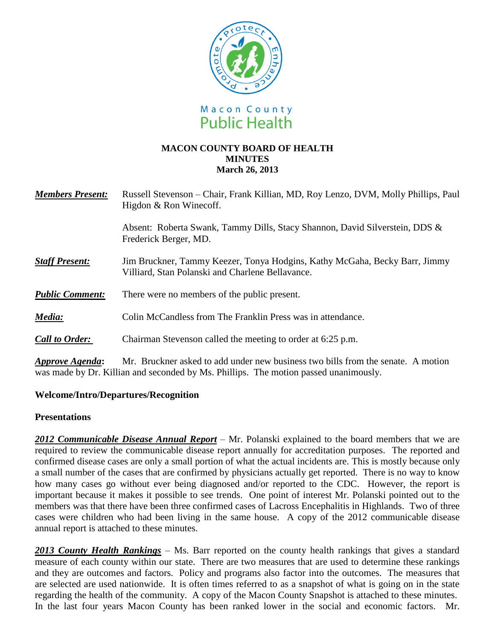

#### **MACON COUNTY BOARD OF HEALTH MINUTES March 26, 2013**

| <b>Members Present:</b> | Russell Stevenson – Chair, Frank Killian, MD, Roy Lenzo, DVM, Molly Phillips, Paul<br>Higdon & Ron Winecoff.                                                                                                                                                                                                                                                 |
|-------------------------|--------------------------------------------------------------------------------------------------------------------------------------------------------------------------------------------------------------------------------------------------------------------------------------------------------------------------------------------------------------|
|                         | Absent: Roberta Swank, Tammy Dills, Stacy Shannon, David Silverstein, DDS &<br>Frederick Berger, MD.                                                                                                                                                                                                                                                         |
| <b>Staff Present:</b>   | Jim Bruckner, Tammy Keezer, Tonya Hodgins, Kathy McGaha, Becky Barr, Jimmy<br>Villiard, Stan Polanski and Charlene Bellavance.                                                                                                                                                                                                                               |
| <b>Public Comment:</b>  | There were no members of the public present.                                                                                                                                                                                                                                                                                                                 |
| Media:                  | Colin McCandless from The Franklin Press was in attendance.                                                                                                                                                                                                                                                                                                  |
| <b>Call to Order:</b>   | Chairman Stevenson called the meeting to order at 6:25 p.m.                                                                                                                                                                                                                                                                                                  |
|                         | $\mathbf{A} = \mathbf{I}$ as a set of $\mathbf{I} = \mathbf{I} + \mathbf{I}$ and $\mathbf{I} = \mathbf{I} + \mathbf{I}$ and $\mathbf{I} = \mathbf{I} + \mathbf{I}$ and $\mathbf{I} = \mathbf{I} + \mathbf{I}$ and $\mathbf{I} = \mathbf{I} + \mathbf{I}$ and $\mathbf{I} = \mathbf{I} + \mathbf{I}$ and $\mathbf{I} = \mathbf{I} + \mathbf{I}$ and $\mathbf$ |

*Approve Agenda***:** Mr. Bruckner asked to add under new business two bills from the senate. A motion was made by Dr. Killian and seconded by Ms. Phillips. The motion passed unanimously.

## **Welcome/Intro/Departures/Recognition**

## **Presentations**

*2012 Communicable Disease Annual Report* – Mr. Polanski explained to the board members that we are required to review the communicable disease report annually for accreditation purposes. The reported and confirmed disease cases are only a small portion of what the actual incidents are. This is mostly because only a small number of the cases that are confirmed by physicians actually get reported. There is no way to know how many cases go without ever being diagnosed and/or reported to the CDC. However, the report is important because it makes it possible to see trends. One point of interest Mr. Polanski pointed out to the members was that there have been three confirmed cases of Lacross Encephalitis in Highlands. Two of three cases were children who had been living in the same house. A copy of the 2012 communicable disease annual report is attached to these minutes.

*2013 County Health Rankings* – Ms. Barr reported on the county health rankings that gives a standard measure of each county within our state. There are two measures that are used to determine these rankings and they are outcomes and factors. Policy and programs also factor into the outcomes. The measures that are selected are used nationwide. It is often times referred to as a snapshot of what is going on in the state regarding the health of the community. A copy of the Macon County Snapshot is attached to these minutes. In the last four years Macon County has been ranked lower in the social and economic factors. Mr.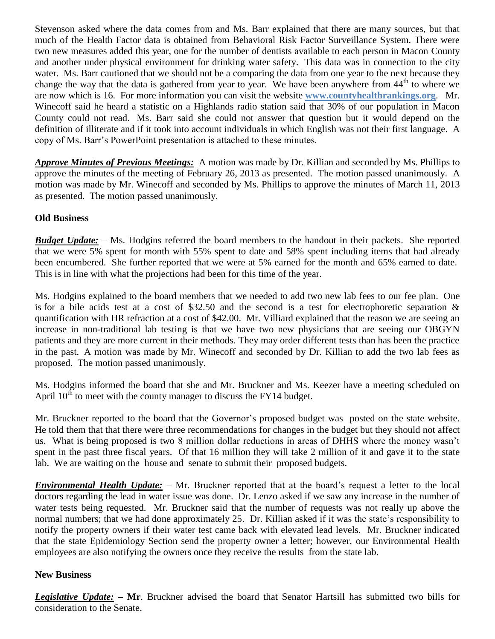Stevenson asked where the data comes from and Ms. Barr explained that there are many sources, but that much of the Health Factor data is obtained from Behavioral Risk Factor Surveillance System. There were two new measures added this year, one for the number of dentists available to each person in Macon County and another under physical environment for drinking water safety. This data was in connection to the city water. Ms. Barr cautioned that we should not be a comparing the data from one year to the next because they change the way that the data is gathered from year to year. We have been anywhere from 44<sup>th</sup> to where we are now which is 16. For more information you can visit the website **[www.countyhealthrankings.org](http://www.countyhealthrankings.org/)**. Mr. Winecoff said he heard a statistic on a Highlands radio station said that 30% of our population in Macon County could not read. Ms. Barr said she could not answer that question but it would depend on the definition of illiterate and if it took into account individuals in which English was not their first language. A copy of Ms. Barr's PowerPoint presentation is attached to these minutes.

*Approve Minutes of Previous Meetings:*A motion was made by Dr. Killian and seconded by Ms. Phillips to approve the minutes of the meeting of February 26, 2013 as presented. The motion passed unanimously. A motion was made by Mr. Winecoff and seconded by Ms. Phillips to approve the minutes of March 11, 2013 as presented. The motion passed unanimously.

# **Old Business**

*Budget Update:* – Ms. Hodgins referred the board members to the handout in their packets. She reported that we were 5% spent for month with 55% spent to date and 58% spent including items that had already been encumbered. She further reported that we were at 5% earned for the month and 65% earned to date. This is in line with what the projections had been for this time of the year.

Ms. Hodgins explained to the board members that we needed to add two new lab fees to our fee plan. One is for a bile acids test at a cost of \$32.50 and the second is a test for electrophoretic separation & quantification with HR refraction at a cost of \$42.00. Mr. Villiard explained that the reason we are seeing an increase in non-traditional lab testing is that we have two new physicians that are seeing our OBGYN patients and they are more current in their methods. They may order different tests than has been the practice in the past. A motion was made by Mr. Winecoff and seconded by Dr. Killian to add the two lab fees as proposed. The motion passed unanimously.

Ms. Hodgins informed the board that she and Mr. Bruckner and Ms. Keezer have a meeting scheduled on April  $10^{th}$  to meet with the county manager to discuss the FY14 budget.

Mr. Bruckner reported to the board that the Governor's proposed budget was posted on the state website. He told them that that there were three recommendations for changes in the budget but they should not affect us. What is being proposed is two 8 million dollar reductions in areas of DHHS where the money wasn't spent in the past three fiscal years. Of that 16 million they will take 2 million of it and gave it to the state lab. We are waiting on the house and senate to submit their proposed budgets.

*Environmental Health Update:* – Mr. Bruckner reported that at the board's request a letter to the local doctors regarding the lead in water issue was done. Dr. Lenzo asked if we saw any increase in the number of water tests being requested. Mr. Bruckner said that the number of requests was not really up above the normal numbers; that we had done approximately 25. Dr. Killian asked if it was the state's responsibility to notify the property owners if their water test came back with elevated lead levels. Mr. Bruckner indicated that the state Epidemiology Section send the property owner a letter; however, our Environmental Health employees are also notifying the owners once they receive the results from the state lab.

## **New Business**

*Legislative Update:* **– Mr**. Bruckner advised the board that Senator Hartsill has submitted two bills for consideration to the Senate.